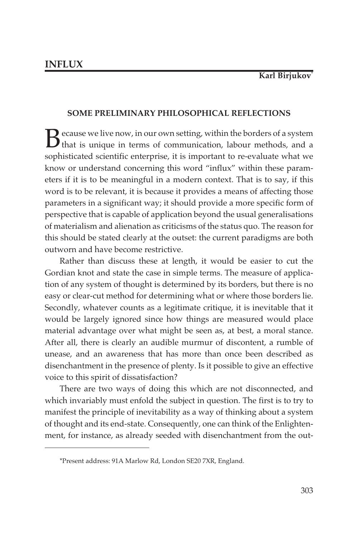# **SOME PRELIMINARY PHILOSOPHICAL REFLECTIONS**

Because we live now, in our own setting, within the borders of a system<br>that is unique in terms of communication, labour methods, and a sophisticated scientific enterprise, it is important to re-evaluate what we know or understand concerning this word "influx" within these parameters if it is to be meaningful in a modern context. That is to say, if this word is to be relevant, it is because it provides a means of affecting those parameters in a significant way; it should provide a more specific form of perspective that is capable of application beyond the usual generalisations of materialism and alienation as criticisms of the status quo. The reason for this should be stated clearly at the outset: the current paradigms are both outworn and have become restrictive.

Rather than discuss these at length, it would be easier to cut the Gordian knot and state the case in simple terms. The measure of application of any system of thought is determined by its borders, but there is no easy or clear-cut method for determining what or where those borders lie. Secondly, whatever counts as a legitimate critique, it is inevitable that it would be largely ignored since how things are measured would place material advantage over what might be seen as, at best, a moral stance. After all, there is clearly an audible murmur of discontent, a rumble of unease, and an awareness that has more than once been described as disenchantment in the presence of plenty. Is it possible to give an effective voice to this spirit of dissatisfaction?

There are two ways of doing this which are not disconnected, and which invariably must enfold the subject in question. The first is to try to manifest the principle of inevitability as a way of thinking about a system of thought and its end-state. Consequently, one can think of the Enlightenment, for instance, as already seeded with disenchantment from the out-

<sup>\*</sup>Present address: 91A Marlow Rd, London SE20 7XR, England.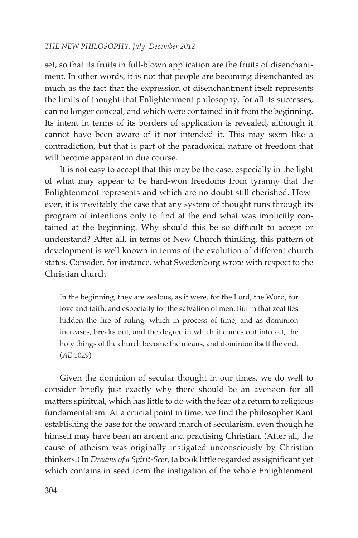set, so that its fruits in full-blown application are the fruits of disenchantment. In other words, it is not that people are becoming disenchanted as much as the fact that the expression of disenchantment itself represents the limits of thought that Enlightenment philosophy, for all its successes, can no longer conceal, and which were contained in it from the beginning. Its intent in terms of its borders of application is revealed, although it cannot have been aware of it nor intended it. This may seem like a contradiction, but that is part of the paradoxical nature of freedom that will become apparent in due course.

It is not easy to accept that this may be the case, especially in the light of what may appear to be hard-won freedoms from tyranny that the Enlightenment represents and which are no doubt still cherished. However, it is inevitably the case that any system of thought runs through its program of intentions only to find at the end what was implicitly contained at the beginning. Why should this be so difficult to accept or understand? After all, in terms of New Church thinking, this pattern of development is well known in terms of the evolution of different church states. Consider, for instance, what Swedenborg wrote with respect to the Christian church:

In the beginning, they are zealous, as it were, for the Lord, the Word, for love and faith, and especially for the salvation of men. But in that zeal lies hidden the fire of ruling, which in process of time, and as dominion increases, breaks out, and the degree in which it comes out into act, the holy things of the church become the means, and dominion itself the end. (*AE* 1029)

Given the dominion of secular thought in our times, we do well to consider briefly just exactly why there should be an aversion for all matters spiritual, which has little to do with the fear of a return to religious fundamentalism. At a crucial point in time, we find the philosopher Kant establishing the base for the onward march of secularism, even though he himself may have been an ardent and practising Christian. (After all, the cause of atheism was originally instigated unconsciously by Christian thinkers.) In *Dreams of a Spirit-Seer*, (a book little regarded as significant yet which contains in seed form the instigation of the whole Enlightenment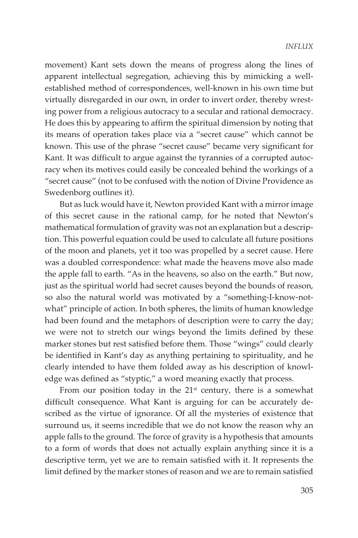movement) Kant sets down the means of progress along the lines of apparent intellectual segregation, achieving this by mimicking a wellestablished method of correspondences, well-known in his own time but virtually disregarded in our own, in order to invert order, thereby wresting power from a religious autocracy to a secular and rational democracy. He does this by appearing to affirm the spiritual dimension by noting that its means of operation takes place via a "secret cause" which cannot be known. This use of the phrase "secret cause" became very significant for Kant. It was difficult to argue against the tyrannies of a corrupted autocracy when its motives could easily be concealed behind the workings of a "secret cause" (not to be confused with the notion of Divine Providence as Swedenborg outlines it).

But as luck would have it, Newton provided Kant with a mirror image of this secret cause in the rational camp, for he noted that Newton's mathematical formulation of gravity was not an explanation but a description. This powerful equation could be used to calculate all future positions of the moon and planets, yet it too was propelled by a secret cause. Here was a doubled correspondence: what made the heavens move also made the apple fall to earth. "As in the heavens, so also on the earth." But now, just as the spiritual world had secret causes beyond the bounds of reason, so also the natural world was motivated by a "something-I-know-notwhat" principle of action. In both spheres, the limits of human knowledge had been found and the metaphors of description were to carry the day; we were not to stretch our wings beyond the limits defined by these marker stones but rest satisfied before them. Those "wings" could clearly be identified in Kant's day as anything pertaining to spirituality, and he clearly intended to have them folded away as his description of knowledge was defined as "styptic," a word meaning exactly that process.

From our position today in the  $21^{st}$  century, there is a somewhat difficult consequence. What Kant is arguing for can be accurately described as the virtue of ignorance. Of all the mysteries of existence that surround us, it seems incredible that we do not know the reason why an apple falls to the ground. The force of gravity is a hypothesis that amounts to a form of words that does not actually explain anything since it is a descriptive term, yet we are to remain satisfied with it. It represents the limit defined by the marker stones of reason and we are to remain satisfied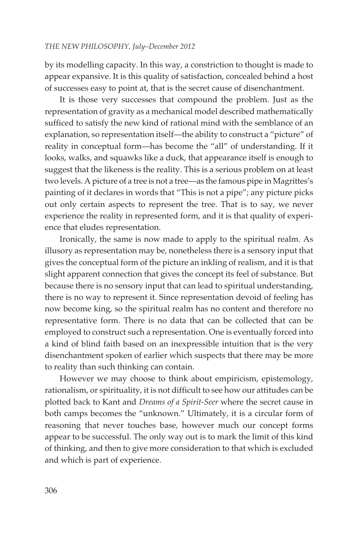by its modelling capacity. In this way, a constriction to thought is made to appear expansive. It is this quality of satisfaction, concealed behind a host of successes easy to point at, that is the secret cause of disenchantment.

It is those very successes that compound the problem. Just as the representation of gravity as a mechanical model described mathematically sufficed to satisfy the new kind of rational mind with the semblance of an explanation, so representation itself—the ability to construct a "picture" of reality in conceptual form—has become the "all" of understanding. If it looks, walks, and squawks like a duck, that appearance itself is enough to suggest that the likeness is the reality. This is a serious problem on at least two levels. A picture of a tree is not a tree—as the famous pipe in Magrittes's painting of it declares in words that "This is not a pipe"; any picture picks out only certain aspects to represent the tree. That is to say, we never experience the reality in represented form, and it is that quality of experience that eludes representation.

Ironically, the same is now made to apply to the spiritual realm. As illusory as representation may be, nonetheless there is a sensory input that gives the conceptual form of the picture an inkling of realism, and it is that slight apparent connection that gives the concept its feel of substance. But because there is no sensory input that can lead to spiritual understanding, there is no way to represent it. Since representation devoid of feeling has now become king, so the spiritual realm has no content and therefore no representative form. There is no data that can be collected that can be employed to construct such a representation. One is eventually forced into a kind of blind faith based on an inexpressible intuition that is the very disenchantment spoken of earlier which suspects that there may be more to reality than such thinking can contain.

However we may choose to think about empiricism, epistemology, rationalism, or spirituality, it is not difficult to see how our attitudes can be plotted back to Kant and *Dreams of a Spirit-Seer* where the secret cause in both camps becomes the "unknown." Ultimately, it is a circular form of reasoning that never touches base, however much our concept forms appear to be successful. The only way out is to mark the limit of this kind of thinking, and then to give more consideration to that which is excluded and which is part of experience.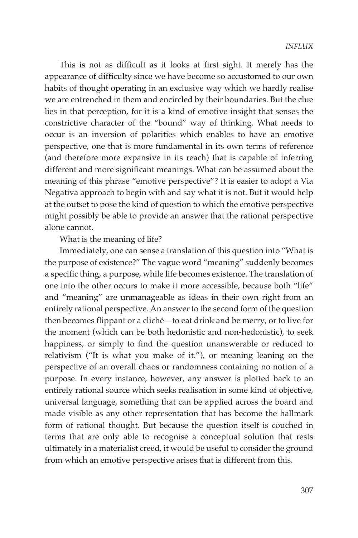This is not as difficult as it looks at first sight. It merely has the appearance of difficulty since we have become so accustomed to our own habits of thought operating in an exclusive way which we hardly realise we are entrenched in them and encircled by their boundaries. But the clue lies in that perception, for it is a kind of emotive insight that senses the constrictive character of the "bound" way of thinking. What needs to occur is an inversion of polarities which enables to have an emotive perspective, one that is more fundamental in its own terms of reference (and therefore more expansive in its reach) that is capable of inferring different and more significant meanings. What can be assumed about the meaning of this phrase "emotive perspective"? It is easier to adopt a Via Negativa approach to begin with and say what it is not. But it would help at the outset to pose the kind of question to which the emotive perspective might possibly be able to provide an answer that the rational perspective alone cannot.

## What is the meaning of life?

Immediately, one can sense a translation of this question into "What is the purpose of existence?" The vague word "meaning" suddenly becomes a specific thing, a purpose, while life becomes existence. The translation of one into the other occurs to make it more accessible, because both "life" and "meaning" are unmanageable as ideas in their own right from an entirely rational perspective. An answer to the second form of the question then becomes flippant or a cliché—to eat drink and be merry, or to live for the moment (which can be both hedonistic and non-hedonistic), to seek happiness, or simply to find the question unanswerable or reduced to relativism ("It is what you make of it."), or meaning leaning on the perspective of an overall chaos or randomness containing no notion of a purpose. In every instance, however, any answer is plotted back to an entirely rational source which seeks realisation in some kind of objective, universal language, something that can be applied across the board and made visible as any other representation that has become the hallmark form of rational thought. But because the question itself is couched in terms that are only able to recognise a conceptual solution that rests ultimately in a materialist creed, it would be useful to consider the ground from which an emotive perspective arises that is different from this.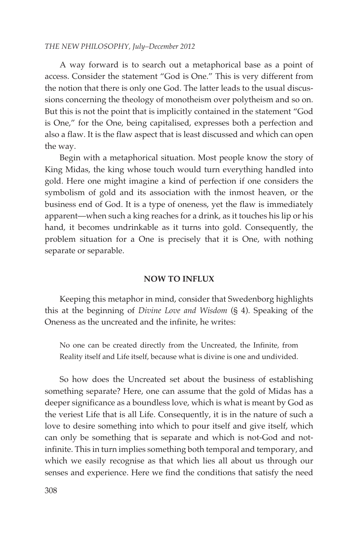A way forward is to search out a metaphorical base as a point of access. Consider the statement "God is One." This is very different from the notion that there is only one God. The latter leads to the usual discussions concerning the theology of monotheism over polytheism and so on. But this is not the point that is implicitly contained in the statement "God is One," for the One, being capitalised, expresses both a perfection and also a flaw. It is the flaw aspect that is least discussed and which can open the way.

Begin with a metaphorical situation. Most people know the story of King Midas, the king whose touch would turn everything handled into gold. Here one might imagine a kind of perfection if one considers the symbolism of gold and its association with the inmost heaven, or the business end of God. It is a type of oneness, yet the flaw is immediately apparent—when such a king reaches for a drink, as it touches his lip or his hand, it becomes undrinkable as it turns into gold. Consequently, the problem situation for a One is precisely that it is One, with nothing separate or separable.

#### **NOW TO INFLUX**

Keeping this metaphor in mind, consider that Swedenborg highlights this at the beginning of *Divine Love and Wisdom* (§ 4). Speaking of the Oneness as the uncreated and the infinite, he writes:

No one can be created directly from the Uncreated, the Infinite, from Reality itself and Life itself, because what is divine is one and undivided.

So how does the Uncreated set about the business of establishing something separate? Here, one can assume that the gold of Midas has a deeper significance as a boundless love, which is what is meant by God as the veriest Life that is all Life. Consequently, it is in the nature of such a love to desire something into which to pour itself and give itself, which can only be something that is separate and which is not-God and notinfinite. This in turn implies something both temporal and temporary, and which we easily recognise as that which lies all about us through our senses and experience. Here we find the conditions that satisfy the need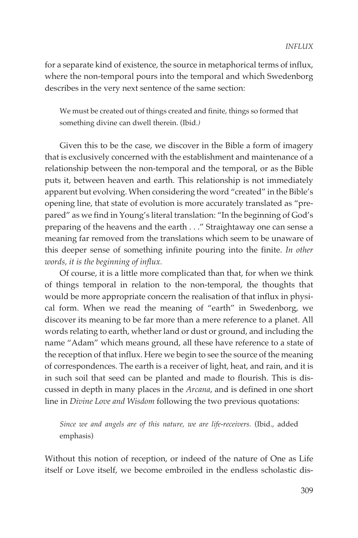for a separate kind of existence, the source in metaphorical terms of influx, where the non-temporal pours into the temporal and which Swedenborg describes in the very next sentence of the same section:

We must be created out of things created and finite, things so formed that something divine can dwell therein. (Ibid*.)*

Given this to be the case, we discover in the Bible a form of imagery that is exclusively concerned with the establishment and maintenance of a relationship between the non-temporal and the temporal, or as the Bible puts it, between heaven and earth. This relationship is not immediately apparent but evolving. When considering the word "created" in the Bible's opening line, that state of evolution is more accurately translated as "prepared" as we find in Young's literal translation: "In the beginning of God's preparing of the heavens and the earth . . ." Straightaway one can sense a meaning far removed from the translations which seem to be unaware of this deeper sense of something infinite pouring into the finite. *In other words, it is the beginning of influx.*

Of course, it is a little more complicated than that, for when we think of things temporal in relation to the non-temporal, the thoughts that would be more appropriate concern the realisation of that influx in physical form. When we read the meaning of "earth" in Swedenborg, we discover its meaning to be far more than a mere reference to a planet. All words relating to earth, whether land or dust or ground, and including the name "Adam" which means ground, all these have reference to a state of the reception of that influx. Here we begin to see the source of the meaning of correspondences. The earth is a receiver of light, heat, and rain, and it is in such soil that seed can be planted and made to flourish. This is discussed in depth in many places in the *Arcana*, and is defined in one short line in *Divine Love and Wisdom* following the two previous quotations:

*Since we and angels are of this nature, we are life-receivers.* (Ibid., added emphasis)

Without this notion of reception, or indeed of the nature of One as Life itself or Love itself, we become embroiled in the endless scholastic dis-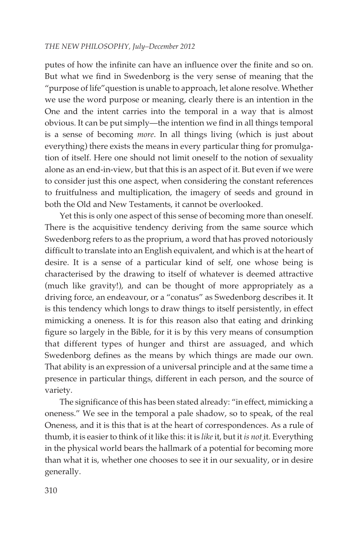putes of how the infinite can have an influence over the finite and so on. But what we find in Swedenborg is the very sense of meaning that the "purpose of life"question is unable to approach, let alone resolve. Whether we use the word purpose or meaning, clearly there is an intention in the One and the intent carries into the temporal in a way that is almost obvious. It can be put simply—the intention we find in all things temporal is a sense of becoming *more*. In all things living (which is just about everything) there exists the means in every particular thing for promulgation of itself. Here one should not limit oneself to the notion of sexuality alone as an end-in-view, but that this is an aspect of it. But even if we were to consider just this one aspect, when considering the constant references to fruitfulness and multiplication, the imagery of seeds and ground in both the Old and New Testaments, it cannot be overlooked.

Yet this is only one aspect of this sense of becoming more than oneself. There is the acquisitive tendency deriving from the same source which Swedenborg refers to as the proprium, a word that has proved notoriously difficult to translate into an English equivalent, and which is at the heart of desire. It is a sense of a particular kind of self, one whose being is characterised by the drawing to itself of whatever is deemed attractive (much like gravity!), and can be thought of more appropriately as a driving force, an endeavour, or a "conatus" as Swedenborg describes it. It is this tendency which longs to draw things to itself persistently, in effect mimicking a oneness. It is for this reason also that eating and drinking figure so largely in the Bible, for it is by this very means of consumption that different types of hunger and thirst are assuaged, and which Swedenborg defines as the means by which things are made our own. That ability is an expression of a universal principle and at the same time a presence in particular things, different in each person, and the source of variety.

The significance of this has been stated already: "in effect, mimicking a oneness." We see in the temporal a pale shadow, so to speak, of the real Oneness, and it is this that is at the heart of correspondences. As a rule of thumb, it is easier to think of it like this: it is *like* it, but it *is not* it. Everything in the physical world bears the hallmark of a potential for becoming more than what it is, whether one chooses to see it in our sexuality, or in desire generally.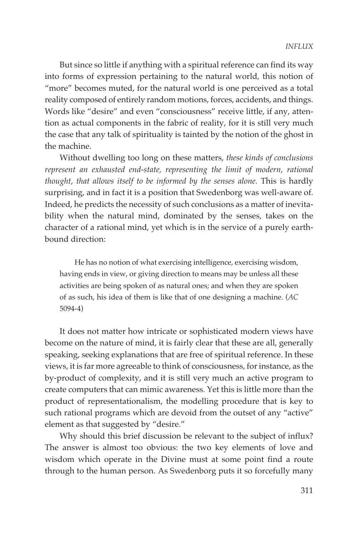But since so little if anything with a spiritual reference can find its way into forms of expression pertaining to the natural world, this notion of "more" becomes muted, for the natural world is one perceived as a total reality composed of entirely random motions, forces, accidents, and things. Words like "desire" and even "consciousness" receive little, if any, attention as actual components in the fabric of reality, for it is still very much the case that any talk of spirituality is tainted by the notion of the ghost in the machine.

Without dwelling too long on these matters, *these kinds of conclusions represent an exhausted end-state, representing the limit of modern, rational thought, that allows itself to be informed by the senses alone.* This is hardly surprising, and in fact it is a position that Swedenborg was well-aware of. Indeed, he predicts the necessity of such conclusions as a matter of inevitability when the natural mind, dominated by the senses, takes on the character of a rational mind, yet which is in the service of a purely earthbound direction:

He has no notion of what exercising intelligence, exercising wisdom, having ends in view, or giving direction to means may be unless all these activities are being spoken of as natural ones; and when they are spoken of as such, his idea of them is like that of one designing a machine. (*AC* 5094-4)

It does not matter how intricate or sophisticated modern views have become on the nature of mind, it is fairly clear that these are all, generally speaking, seeking explanations that are free of spiritual reference. In these views, it is far more agreeable to think of consciousness, for instance, as the by-product of complexity, and it is still very much an active program to create computers that can mimic awareness. Yet this is little more than the product of representationalism, the modelling procedure that is key to such rational programs which are devoid from the outset of any "active" element as that suggested by "desire."

Why should this brief discussion be relevant to the subject of influx? The answer is almost too obvious: the two key elements of love and wisdom which operate in the Divine must at some point find a route through to the human person. As Swedenborg puts it so forcefully many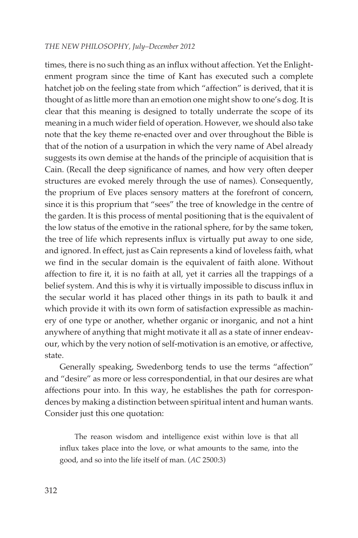times, there is no such thing as an influx without affection. Yet the Enlightenment program since the time of Kant has executed such a complete hatchet job on the feeling state from which "affection" is derived, that it is thought of as little more than an emotion one might show to one's dog. It is clear that this meaning is designed to totally underrate the scope of its meaning in a much wider field of operation. However, we should also take note that the key theme re-enacted over and over throughout the Bible is that of the notion of a usurpation in which the very name of Abel already suggests its own demise at the hands of the principle of acquisition that is Cain. (Recall the deep significance of names, and how very often deeper structures are evoked merely through the use of names). Consequently, the proprium of Eve places sensory matters at the forefront of concern, since it is this proprium that "sees" the tree of knowledge in the centre of the garden. It is this process of mental positioning that is the equivalent of the low status of the emotive in the rational sphere, for by the same token, the tree of life which represents influx is virtually put away to one side, and ignored. In effect, just as Cain represents a kind of loveless faith, what we find in the secular domain is the equivalent of faith alone. Without affection to fire it, it is no faith at all, yet it carries all the trappings of a belief system. And this is why it is virtually impossible to discuss influx in the secular world it has placed other things in its path to baulk it and which provide it with its own form of satisfaction expressible as machinery of one type or another, whether organic or inorganic, and not a hint anywhere of anything that might motivate it all as a state of inner endeavour, which by the very notion of self-motivation is an emotive, or affective, state.

Generally speaking, Swedenborg tends to use the terms "affection" and "desire" as more or less correspondential, in that our desires are what affections pour into. In this way, he establishes the path for correspondences by making a distinction between spiritual intent and human wants. Consider just this one quotation:

The reason wisdom and intelligence exist within love is that all influx takes place into the love, or what amounts to the same, into the good, and so into the life itself of man. (*AC* 2500:3)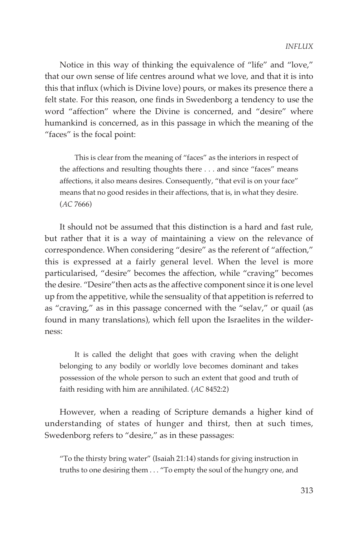Notice in this way of thinking the equivalence of "life" and "love," that our own sense of life centres around what we love, and that it is into this that influx (which is Divine love) pours, or makes its presence there a felt state. For this reason, one finds in Swedenborg a tendency to use the word "affection" where the Divine is concerned, and "desire" where humankind is concerned, as in this passage in which the meaning of the "faces" is the focal point:

This is clear from the meaning of "faces" as the interiors in respect of the affections and resulting thoughts there . . . and since "faces" means affections, it also means desires. Consequently, "that evil is on your face" means that no good resides in their affections, that is, in what they desire. (*AC* 7666)

It should not be assumed that this distinction is a hard and fast rule, but rather that it is a way of maintaining a view on the relevance of correspondence. When considering "desire" as the referent of "affection," this is expressed at a fairly general level. When the level is more particularised, "desire" becomes the affection, while "craving" becomes the desire. "Desire"then acts as the affective component since it is one level up from the appetitive, while the sensuality of that appetition is referred to as "craving," as in this passage concerned with the "selav," or quail (as found in many translations), which fell upon the Israelites in the wilderness:

It is called the delight that goes with craving when the delight belonging to any bodily or worldly love becomes dominant and takes possession of the whole person to such an extent that good and truth of faith residing with him are annihilated. (*AC* 8452:2)

However, when a reading of Scripture demands a higher kind of understanding of states of hunger and thirst, then at such times, Swedenborg refers to "desire," as in these passages:

"To the thirsty bring water" (Isaiah 21:14) stands for giving instruction in truths to one desiring them . . . "To empty the soul of the hungry one, and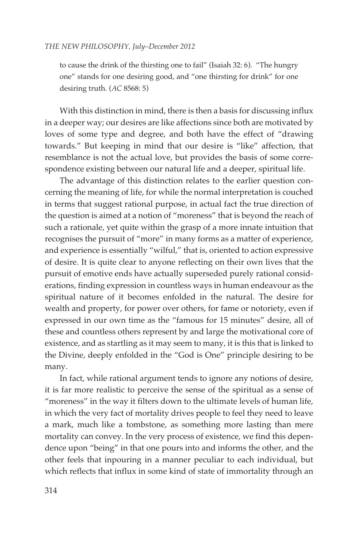to cause the drink of the thirsting one to fail" (Isaiah 32: 6). "The hungry one" stands for one desiring good, and "one thirsting for drink" for one desiring truth. (*AC* 8568: 5)

With this distinction in mind, there is then a basis for discussing influx in a deeper way; our desires are like affections since both are motivated by loves of some type and degree, and both have the effect of "drawing towards." But keeping in mind that our desire is "like" affection, that resemblance is not the actual love, but provides the basis of some correspondence existing between our natural life and a deeper, spiritual life.

The advantage of this distinction relates to the earlier question concerning the meaning of life, for while the normal interpretation is couched in terms that suggest rational purpose, in actual fact the true direction of the question is aimed at a notion of "moreness" that is beyond the reach of such a rationale, yet quite within the grasp of a more innate intuition that recognises the pursuit of "more" in many forms as a matter of experience, and experience is essentially "wilful," that is, oriented to action expressive of desire. It is quite clear to anyone reflecting on their own lives that the pursuit of emotive ends have actually superseded purely rational considerations, finding expression in countless ways in human endeavour as the spiritual nature of it becomes enfolded in the natural. The desire for wealth and property, for power over others, for fame or notoriety, even if expressed in our own time as the "famous for 15 minutes" desire, all of these and countless others represent by and large the motivational core of existence, and as startling as it may seem to many, it is this that is linked to the Divine, deeply enfolded in the "God is One" principle desiring to be many.

In fact, while rational argument tends to ignore any notions of desire, it is far more realistic to perceive the sense of the spiritual as a sense of "moreness" in the way it filters down to the ultimate levels of human life, in which the very fact of mortality drives people to feel they need to leave a mark, much like a tombstone, as something more lasting than mere mortality can convey. In the very process of existence, we find this dependence upon "being" in that one pours into and informs the other, and the other feels that inpouring in a manner peculiar to each individual, but which reflects that influx in some kind of state of immortality through an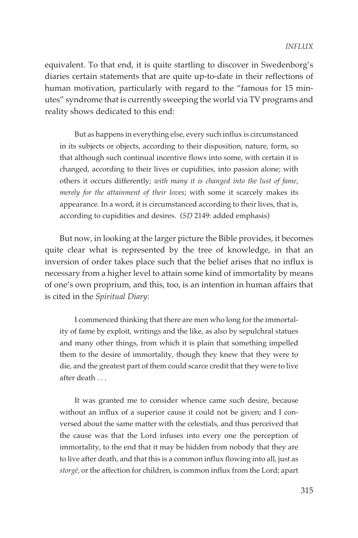equivalent. To that end, it is quite startling to discover in Swedenborg's diaries certain statements that are quite up-to-date in their reflections of human motivation, particularly with regard to the "famous for 15 minutes" syndrome that is currently sweeping the world via TV programs and reality shows dedicated to this end:

But as happens in everything else, every such influx is circumstanced in its subjects or objects, according to their disposition, nature, form, so that although such continual incentive flows into some, with certain it is changed, according to their lives or cupidities, into passion alone; with others it occurs differently; *with many it is changed into the lust of fame, merely for the attainment of their loves*; with some it scarcely makes its appearance. In a word, it is circumstanced according to their lives, that is, according to cupidities and desires. (*SD* 2149: added emphasis)

But now, in looking at the larger picture the Bible provides, it becomes quite clear what is represented by the tree of knowledge, in that an inversion of order takes place such that the belief arises that no influx is necessary from a higher level to attain some kind of immortality by means of one's own proprium, and this, too, is an intention in human affairs that is cited in the *Spiritual Diary*:

I commenced thinking that there are men who long for the immortality of fame by exploit, writings and the like, as also by sepulchral statues and many other things, from which it is plain that something impelled them to the desire of immortality, though they knew that they were to die, and the greatest part of them could scarce credit that they were to live after death . . .

It was granted me to consider whence came such desire, because without an influx of a superior cause it could not be given; and I conversed about the same matter with the celestials, and thus perceived that the cause was that the Lord infuses into every one the perception of immortality, to the end that it may be hidden from nobody that they are to live after death, and that this is a common influx flowing into all, just as *storgé,* or the affection for children, is common influx from the Lord; apart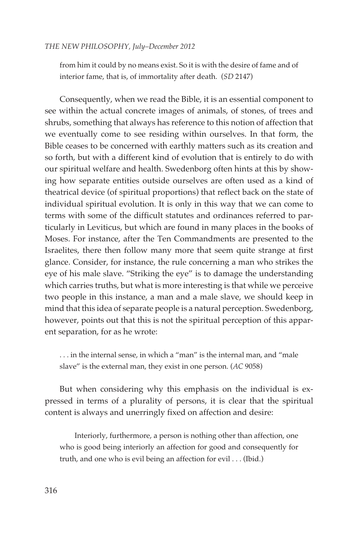from him it could by no means exist. So it is with the desire of fame and of interior fame, that is, of immortality after death. (*SD* 2147)

Consequently, when we read the Bible, it is an essential component to see within the actual concrete images of animals, of stones, of trees and shrubs, something that always has reference to this notion of affection that we eventually come to see residing within ourselves. In that form, the Bible ceases to be concerned with earthly matters such as its creation and so forth, but with a different kind of evolution that is entirely to do with our spiritual welfare and health. Swedenborg often hints at this by showing how separate entities outside ourselves are often used as a kind of theatrical device (of spiritual proportions) that reflect back on the state of individual spiritual evolution. It is only in this way that we can come to terms with some of the difficult statutes and ordinances referred to particularly in Leviticus, but which are found in many places in the books of Moses. For instance, after the Ten Commandments are presented to the Israelites, there then follow many more that seem quite strange at first glance. Consider, for instance, the rule concerning a man who strikes the eye of his male slave. "Striking the eye" is to damage the understanding which carries truths, but what is more interesting is that while we perceive two people in this instance, a man and a male slave, we should keep in mind that this idea of separate people is a natural perception. Swedenborg, however, points out that this is not the spiritual perception of this apparent separation, for as he wrote:

. . . in the internal sense, in which a "man" is the internal man, and "male slave" is the external man, they exist in one person. (*AC* 9058)

But when considering why this emphasis on the individual is expressed in terms of a plurality of persons, it is clear that the spiritual content is always and unerringly fixed on affection and desire:

Interiorly, furthermore, a person is nothing other than affection, one who is good being interiorly an affection for good and consequently for truth, and one who is evil being an affection for evil . . . (Ibid.)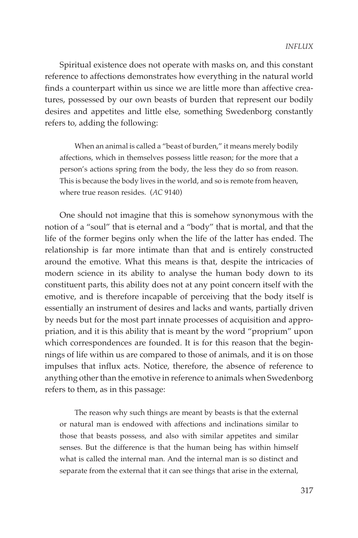Spiritual existence does not operate with masks on, and this constant reference to affections demonstrates how everything in the natural world finds a counterpart within us since we are little more than affective creatures, possessed by our own beasts of burden that represent our bodily desires and appetites and little else, something Swedenborg constantly refers to, adding the following:

When an animal is called a "beast of burden," it means merely bodily affections, which in themselves possess little reason; for the more that a person's actions spring from the body, the less they do so from reason. This is because the body lives in the world, and so is remote from heaven, where true reason resides. (*AC* 9140)

One should not imagine that this is somehow synonymous with the notion of a "soul" that is eternal and a "body" that is mortal, and that the life of the former begins only when the life of the latter has ended. The relationship is far more intimate than that and is entirely constructed around the emotive. What this means is that, despite the intricacies of modern science in its ability to analyse the human body down to its constituent parts, this ability does not at any point concern itself with the emotive, and is therefore incapable of perceiving that the body itself is essentially an instrument of desires and lacks and wants, partially driven by needs but for the most part innate processes of acquisition and appropriation, and it is this ability that is meant by the word "proprium" upon which correspondences are founded. It is for this reason that the beginnings of life within us are compared to those of animals, and it is on those impulses that influx acts. Notice, therefore, the absence of reference to anything other than the emotive in reference to animals when Swedenborg refers to them, as in this passage:

The reason why such things are meant by beasts is that the external or natural man is endowed with affections and inclinations similar to those that beasts possess, and also with similar appetites and similar senses. But the difference is that the human being has within himself what is called the internal man. And the internal man is so distinct and separate from the external that it can see things that arise in the external,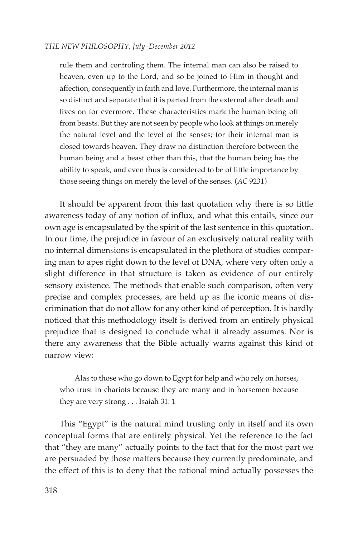rule them and controling them. The internal man can also be raised to heaven, even up to the Lord, and so be joined to Him in thought and affection, consequently in faith and love. Furthermore, the internal man is so distinct and separate that it is parted from the external after death and lives on for evermore. These characteristics mark the human being off from beasts. But they are not seen by people who look at things on merely the natural level and the level of the senses; for their internal man is closed towards heaven. They draw no distinction therefore between the human being and a beast other than this, that the human being has the ability to speak, and even thus is considered to be of little importance by those seeing things on merely the level of the senses. (*AC* 9231)

It should be apparent from this last quotation why there is so little awareness today of any notion of influx, and what this entails, since our own age is encapsulated by the spirit of the last sentence in this quotation. In our time, the prejudice in favour of an exclusively natural reality with no internal dimensions is encapsulated in the plethora of studies comparing man to apes right down to the level of DNA, where very often only a slight difference in that structure is taken as evidence of our entirely sensory existence. The methods that enable such comparison, often very precise and complex processes, are held up as the iconic means of discrimination that do not allow for any other kind of perception. It is hardly noticed that this methodology itself is derived from an entirely physical prejudice that is designed to conclude what it already assumes. Nor is there any awareness that the Bible actually warns against this kind of narrow view:

Alas to those who go down to Egypt for help and who rely on horses, who trust in chariots because they are many and in horsemen because they are very strong . . . Isaiah 31: 1

This "Egypt" is the natural mind trusting only in itself and its own conceptual forms that are entirely physical. Yet the reference to the fact that "they are many" actually points to the fact that for the most part we are persuaded by those matters because they currently predominate, and the effect of this is to deny that the rational mind actually possesses the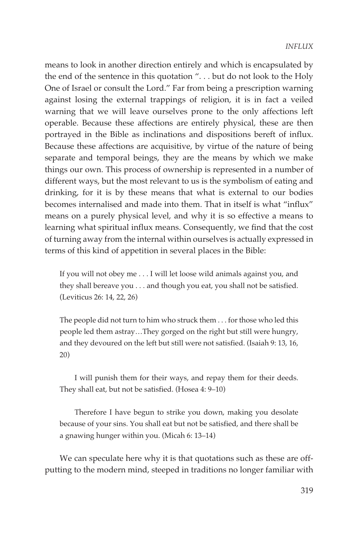means to look in another direction entirely and which is encapsulated by the end of the sentence in this quotation ". . . but do not look to the Holy One of Israel or consult the Lord." Far from being a prescription warning against losing the external trappings of religion, it is in fact a veiled warning that we will leave ourselves prone to the only affections left operable. Because these affections are entirely physical, these are then portrayed in the Bible as inclinations and dispositions bereft of influx. Because these affections are acquisitive, by virtue of the nature of being separate and temporal beings, they are the means by which we make things our own. This process of ownership is represented in a number of different ways, but the most relevant to us is the symbolism of eating and drinking, for it is by these means that what is external to our bodies becomes internalised and made into them. That in itself is what "influx" means on a purely physical level, and why it is so effective a means to learning what spiritual influx means. Consequently, we find that the cost of turning away from the internal within ourselves is actually expressed in terms of this kind of appetition in several places in the Bible:

If you will not obey me . . . I will let loose wild animals against you, and they shall bereave you . . . and though you eat, you shall not be satisfied. (Leviticus 26: 14, 22, 26)

The people did not turn to him who struck them . . . for those who led this people led them astray…They gorged on the right but still were hungry, and they devoured on the left but still were not satisfied. (Isaiah 9: 13, 16, 20)

I will punish them for their ways, and repay them for their deeds. They shall eat, but not be satisfied. (Hosea 4: 9–10)

Therefore I have begun to strike you down, making you desolate because of your sins. You shall eat but not be satisfied, and there shall be a gnawing hunger within you. (Micah 6: 13–14)

We can speculate here why it is that quotations such as these are offputting to the modern mind, steeped in traditions no longer familiar with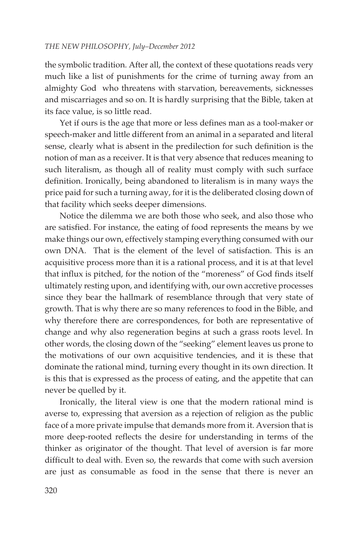the symbolic tradition. After all, the context of these quotations reads very much like a list of punishments for the crime of turning away from an almighty God who threatens with starvation, bereavements, sicknesses and miscarriages and so on. It is hardly surprising that the Bible, taken at its face value, is so little read.

Yet if ours is the age that more or less defines man as a tool-maker or speech-maker and little different from an animal in a separated and literal sense, clearly what is absent in the predilection for such definition is the notion of man as a receiver. It is that very absence that reduces meaning to such literalism, as though all of reality must comply with such surface definition. Ironically, being abandoned to literalism is in many ways the price paid for such a turning away, for it is the deliberated closing down of that facility which seeks deeper dimensions.

Notice the dilemma we are both those who seek, and also those who are satisfied. For instance, the eating of food represents the means by we make things our own, effectively stamping everything consumed with our own DNA. That is the element of the level of satisfaction. This is an acquisitive process more than it is a rational process, and it is at that level that influx is pitched, for the notion of the "moreness" of God finds itself ultimately resting upon, and identifying with, our own accretive processes since they bear the hallmark of resemblance through that very state of growth. That is why there are so many references to food in the Bible, and why therefore there are correspondences, for both are representative of change and why also regeneration begins at such a grass roots level. In other words, the closing down of the "seeking" element leaves us prone to the motivations of our own acquisitive tendencies, and it is these that dominate the rational mind, turning every thought in its own direction. It is this that is expressed as the process of eating, and the appetite that can never be quelled by it.

Ironically, the literal view is one that the modern rational mind is averse to, expressing that aversion as a rejection of religion as the public face of a more private impulse that demands more from it. Aversion that is more deep-rooted reflects the desire for understanding in terms of the thinker as originator of the thought. That level of aversion is far more difficult to deal with. Even so, the rewards that come with such aversion are just as consumable as food in the sense that there is never an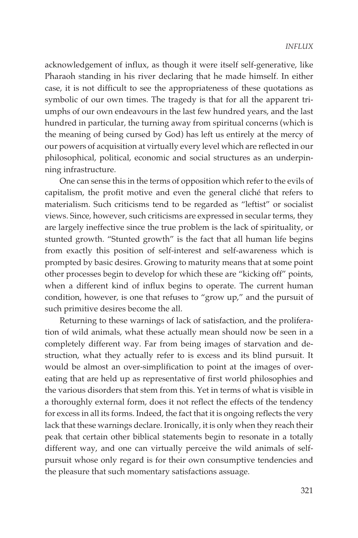acknowledgement of influx, as though it were itself self-generative, like Pharaoh standing in his river declaring that he made himself. In either case, it is not difficult to see the appropriateness of these quotations as symbolic of our own times. The tragedy is that for all the apparent triumphs of our own endeavours in the last few hundred years, and the last hundred in particular, the turning away from spiritual concerns (which is the meaning of being cursed by God) has left us entirely at the mercy of our powers of acquisition at virtually every level which are reflected in our philosophical, political, economic and social structures as an underpinning infrastructure.

One can sense this in the terms of opposition which refer to the evils of capitalism, the profit motive and even the general cliché that refers to materialism. Such criticisms tend to be regarded as "leftist" or socialist views. Since, however, such criticisms are expressed in secular terms, they are largely ineffective since the true problem is the lack of spirituality, or stunted growth. "Stunted growth" is the fact that all human life begins from exactly this position of self-interest and self-awareness which is prompted by basic desires. Growing to maturity means that at some point other processes begin to develop for which these are "kicking off" points, when a different kind of influx begins to operate. The current human condition, however, is one that refuses to "grow up," and the pursuit of such primitive desires become the all.

Returning to these warnings of lack of satisfaction, and the proliferation of wild animals, what these actually mean should now be seen in a completely different way. Far from being images of starvation and destruction, what they actually refer to is excess and its blind pursuit. It would be almost an over-simplification to point at the images of overeating that are held up as representative of first world philosophies and the various disorders that stem from this. Yet in terms of what is visible in a thoroughly external form, does it not reflect the effects of the tendency for excess in all its forms. Indeed, the fact that it is ongoing reflects the very lack that these warnings declare. Ironically, it is only when they reach their peak that certain other biblical statements begin to resonate in a totally different way, and one can virtually perceive the wild animals of selfpursuit whose only regard is for their own consumptive tendencies and the pleasure that such momentary satisfactions assuage.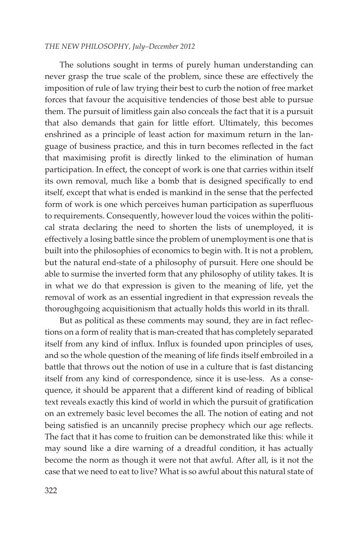The solutions sought in terms of purely human understanding can never grasp the true scale of the problem, since these are effectively the imposition of rule of law trying their best to curb the notion of free market forces that favour the acquisitive tendencies of those best able to pursue them. The pursuit of limitless gain also conceals the fact that it is a pursuit that also demands that gain for little effort. Ultimately, this becomes enshrined as a principle of least action for maximum return in the language of business practice, and this in turn becomes reflected in the fact that maximising profit is directly linked to the elimination of human participation. In effect, the concept of work is one that carries within itself its own removal, much like a bomb that is designed specifically to end itself, except that what is ended is mankind in the sense that the perfected form of work is one which perceives human participation as superfluous to requirements. Consequently, however loud the voices within the political strata declaring the need to shorten the lists of unemployed, it is effectively a losing battle since the problem of unemployment is one that is built into the philosophies of economics to begin with. It is not a problem, but the natural end-state of a philosophy of pursuit. Here one should be able to surmise the inverted form that any philosophy of utility takes. It is in what we do that expression is given to the meaning of life, yet the removal of work as an essential ingredient in that expression reveals the thoroughgoing acquisitionism that actually holds this world in its thrall.

But as political as these comments may sound, they are in fact reflections on a form of reality that is man-created that has completely separated itself from any kind of influx. Influx is founded upon principles of uses, and so the whole question of the meaning of life finds itself embroiled in a battle that throws out the notion of use in a culture that is fast distancing itself from any kind of correspondence, since it is use-less. As a consequence, it should be apparent that a different kind of reading of biblical text reveals exactly this kind of world in which the pursuit of gratification on an extremely basic level becomes the all. The notion of eating and not being satisfied is an uncannily precise prophecy which our age reflects. The fact that it has come to fruition can be demonstrated like this: while it may sound like a dire warning of a dreadful condition, it has actually become the norm as though it were not that awful. After all, is it not the case that we need to eat to live? What is so awful about this natural state of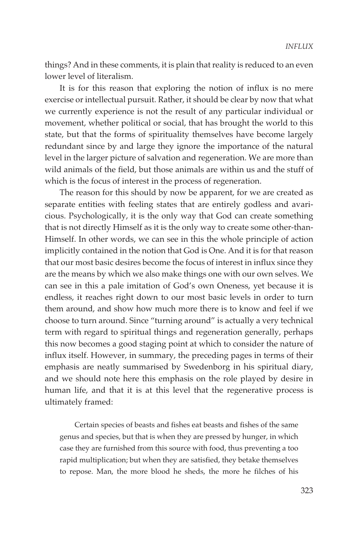things? And in these comments, it is plain that reality is reduced to an even lower level of literalism.

It is for this reason that exploring the notion of influx is no mere exercise or intellectual pursuit. Rather, it should be clear by now that what we currently experience is not the result of any particular individual or movement, whether political or social, that has brought the world to this state, but that the forms of spirituality themselves have become largely redundant since by and large they ignore the importance of the natural level in the larger picture of salvation and regeneration. We are more than wild animals of the field, but those animals are within us and the stuff of which is the focus of interest in the process of regeneration.

The reason for this should by now be apparent, for we are created as separate entities with feeling states that are entirely godless and avaricious. Psychologically, it is the only way that God can create something that is not directly Himself as it is the only way to create some other-than-Himself. In other words, we can see in this the whole principle of action implicitly contained in the notion that God is One. And it is for that reason that our most basic desires become the focus of interest in influx since they are the means by which we also make things one with our own selves. We can see in this a pale imitation of God's own Oneness, yet because it is endless, it reaches right down to our most basic levels in order to turn them around, and show how much more there is to know and feel if we choose to turn around. Since "turning around" is actually a very technical term with regard to spiritual things and regeneration generally, perhaps this now becomes a good staging point at which to consider the nature of influx itself. However, in summary, the preceding pages in terms of their emphasis are neatly summarised by Swedenborg in his spiritual diary, and we should note here this emphasis on the role played by desire in human life, and that it is at this level that the regenerative process is ultimately framed:

Certain species of beasts and fishes eat beasts and fishes of the same genus and species, but that is when they are pressed by hunger, in which case they are furnished from this source with food, thus preventing a too rapid multiplication; but when they are satisfied, they betake themselves to repose. Man, the more blood he sheds, the more he filches of his